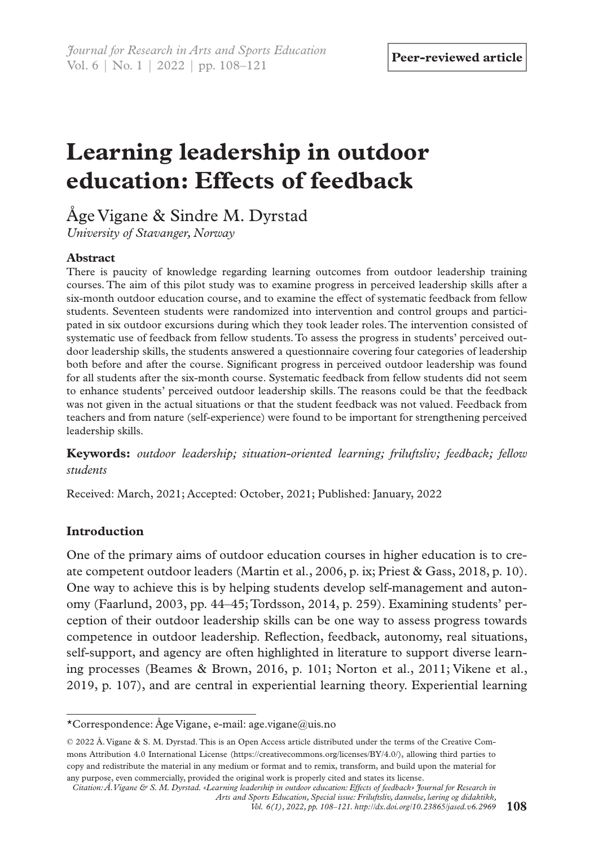# **Learning leadership in outdoor education: Effects of feedback**

Åge Vigane & Sindre M. Dyrstad

*University of Stavanger, Norway*

## **Abstract**

There is paucity of knowledge regarding learning outcomes from outdoor leadership training courses. The aim of this pilot study was to examine progress in perceived leadership skills after a six-month outdoor education course, and to examine the effect of systematic feedback from fellow students. Seventeen students were randomized into intervention and control groups and participated in six outdoor excursions during which they took leader roles. The intervention consisted of systematic use of feedback from fellow students. To assess the progress in students' perceived outdoor leadership skills, the students answered a questionnaire covering four categories of leadership both before and after the course. Significant progress in perceived outdoor leadership was found for all students after the six-month course. Systematic feedback from fellow students did not seem to enhance students' perceived outdoor leadership skills. The reasons could be that the feedback was not given in the actual situations or that the student feedback was not valued. Feedback from teachers and from nature (self-experience) were found to be important for strengthening perceived leadership skills.

**Keywords:** *outdoor leadership; situation-oriented learning; friluftsliv; feedback; fellow students*

Received: March, 2021; Accepted: October, 2021; Published: January, 2022

## **Introduction**

One of the primary aims of outdoor education courses in higher education is to create competent outdoor leaders (Martin et al., 2006, p. ix; Priest & Gass, 2018, p. 10). One way to achieve this is by helping students develop self-management and autonomy (Faarlund, 2003, pp. 44–45; Tordsson, 2014, p. 259). Examining students' perception of their outdoor leadership skills can be one way to assess progress towards competence in outdoor leadership. Reflection, feedback, autonomy, real situations, self-support, and agency are often highlighted in literature to support diverse learning processes (Beames & Brown, 2016, p. 101; Norton et al., 2011; Vikene et al., 2019, p. 107), and are central in experiential learning theory. Experiential learning

<sup>\*</sup>Correspondence: Åge Vigane, e-mail: age.vigane@uis.no

<sup>© 2022</sup> Å. Vigane & S. M. Dyrstad. This is an Open Access article distributed under the terms of the Creative Commons Attribution 4.0 International License (https://creativecommons.org/licenses/BY/4.0/), allowing third parties to copy and redistribute the material in any medium or format and to remix, transform, and build upon the material for any purpose, even commercially, provided the original work is properly cited and states its license.

*Citation: Å. Vigane & S. M. Dyrstad. «Learning leadership in outdoor education: Effects of feedback» Journal for Research in Arts and Sports Education, Special issue: Friluftsliv, dannelse, læring og didaktikk,* 

*Vol. 6(1), 2022, pp. 108–121. [http://dx.doi.org/10.23865/jased.v6.](http://dx.doi.org/10.23865/jased.v6.2969)2969*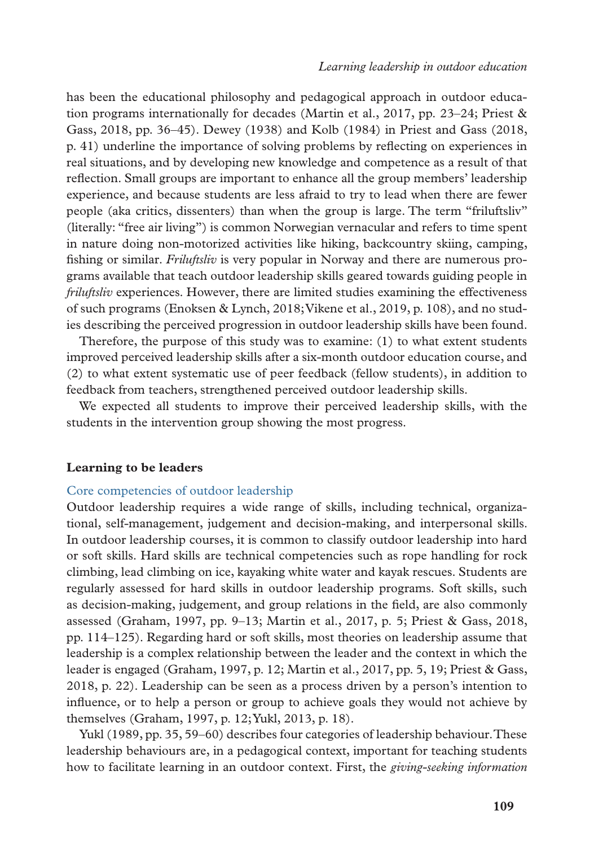has been the educational philosophy and pedagogical approach in outdoor education programs internationally for decades (Martin et al., 2017, pp. 23–24; Priest & Gass, 2018, pp. 36–45). Dewey (1938) and Kolb (1984) in Priest and Gass (2018, p. 41) underline the importance of solving problems by reflecting on experiences in real situations, and by developing new knowledge and competence as a result of that reflection. Small groups are important to enhance all the group members' leadership experience, and because students are less afraid to try to lead when there are fewer people (aka critics, dissenters) than when the group is large. The term "friluftsliv" (literally: "free air living") is common Norwegian vernacular and refers to time spent in nature doing non-motorized activities like hiking, backcountry skiing, camping, fishing or similar. *Friluftsliv* is very popular in Norway and there are numerous programs available that teach outdoor leadership skills geared towards guiding people in *friluftsliv* experiences. However, there are limited studies examining the effectiveness of such programs (Enoksen & Lynch, 2018; Vikene et al., 2019, p. 108), and no studies describing the perceived progression in outdoor leadership skills have been found.

Therefore, the purpose of this study was to examine: (1) to what extent students improved perceived leadership skills after a six-month outdoor education course, and (2) to what extent systematic use of peer feedback (fellow students), in addition to feedback from teachers, strengthened perceived outdoor leadership skills.

We expected all students to improve their perceived leadership skills, with the students in the intervention group showing the most progress.

#### **Learning to be leaders**

#### Core competencies of outdoor leadership

Outdoor leadership requires a wide range of skills, including technical, organizational, self-management, judgement and decision-making, and interpersonal skills. In outdoor leadership courses, it is common to classify outdoor leadership into hard or soft skills. Hard skills are technical competencies such as rope handling for rock climbing, lead climbing on ice, kayaking white water and kayak rescues. Students are regularly assessed for hard skills in outdoor leadership programs. Soft skills, such as decision-making, judgement, and group relations in the field, are also commonly assessed (Graham, 1997, pp. 9–13; Martin et al., 2017, p. 5; Priest & Gass, 2018, pp. 114–125). Regarding hard or soft skills, most theories on leadership assume that leadership is a complex relationship between the leader and the context in which the leader is engaged (Graham, 1997, p. 12; Martin et al., 2017, pp. 5, 19; Priest & Gass, 2018, p. 22). Leadership can be seen as a process driven by a person's intention to influence, or to help a person or group to achieve goals they would not achieve by themselves (Graham, 1997, p. 12; Yukl, 2013, p. 18).

Yukl (1989, pp. 35, 59–60) describes four categories of leadership behaviour. These leadership behaviours are, in a pedagogical context, important for teaching students how to facilitate learning in an outdoor context. First, the *giving-seeking information*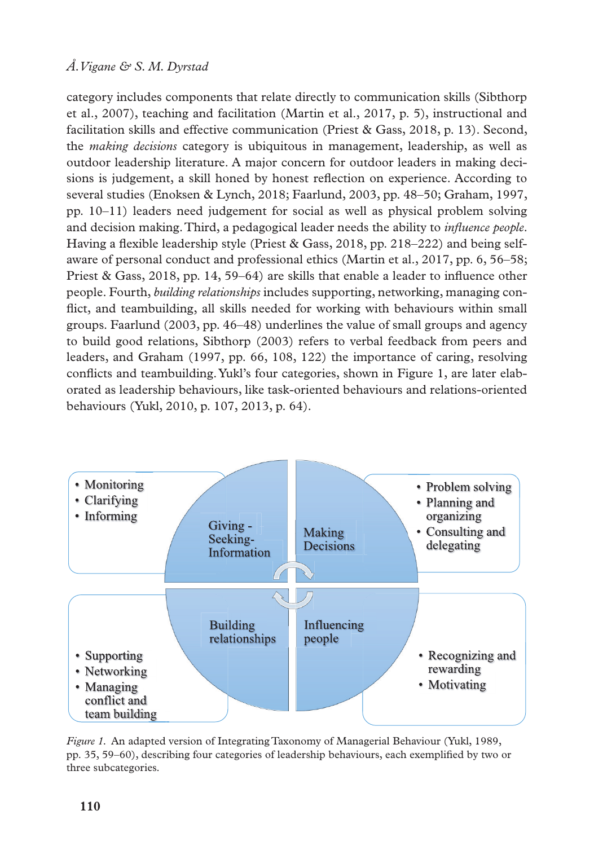category includes components that relate directly to communication skills (Sibthorp et al., 2007), teaching and facilitation (Martin et al., 2017, p. 5), instructional and facilitation skills and effective communication (Priest & Gass, 2018, p. 13). Second, the *making decisions* category is ubiquitous in management, leadership, as well as outdoor leadership literature. A major concern for outdoor leaders in making decisions is judgement, a skill honed by honest reflection on experience. According to several studies (Enoksen & Lynch, 2018; Faarlund, 2003, pp. 48–50; Graham, 1997, pp. 10–11) leaders need judgement for social as well as physical problem solving and decision making. Third, a pedagogical leader needs the ability to *influence people*. Having a flexible leadership style (Priest & Gass, 2018, pp. 218–222) and being selfaware of personal conduct and professional ethics (Martin et al., 2017, pp. 6, 56–58; Priest & Gass, 2018, pp. 14, 59–64) are skills that enable a leader to influence other people. Fourth, *building relationships* includes supporting, networking, managing conflict, and teambuilding, all skills needed for working with behaviours within small groups. Faarlund (2003, pp. 46–48) underlines the value of small groups and agency to build good relations, Sibthorp (2003) refers to verbal feedback from peers and leaders, and Graham (1997, pp. 66, 108, 122) the importance of caring, resolving conflicts and teambuilding. Yukl's four categories, shown in Figure 1, are later elaborated as leadership behaviours, like task-oriented behaviours and relations-oriented behaviours (Yukl, 2010, p. 107, 2013, p. 64).



*Figure 1.* An adapted version of Integrating Taxonomy of Managerial Behaviour (Yukl, 1989, pp. 35, 59–60), describing four categories of leadership behaviours, each exemplified by two or three subcategories.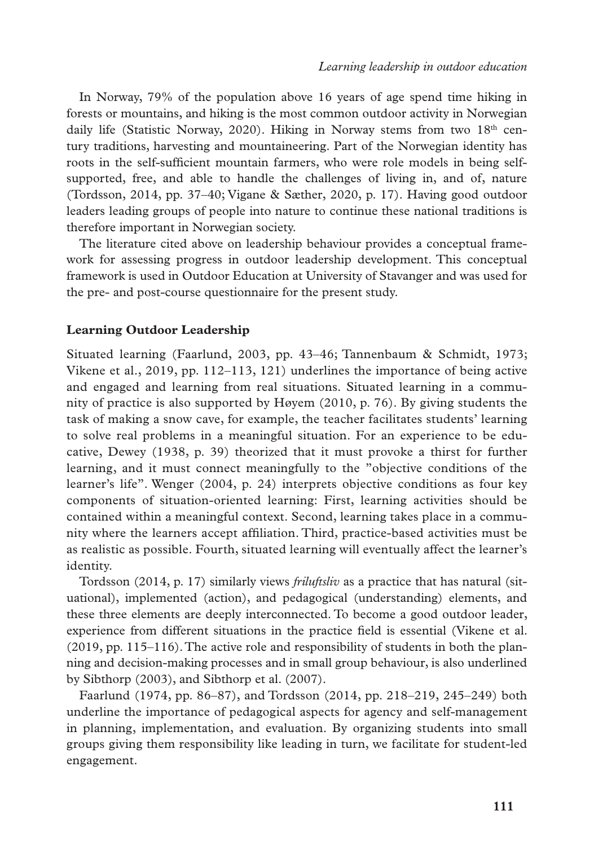In Norway, 79% of the population above 16 years of age spend time hiking in forests or mountains, and hiking is the most common outdoor activity in Norwegian daily life (Statistic Norway, 2020). Hiking in Norway stems from two  $18<sup>th</sup>$  century traditions, harvesting and mountaineering. Part of the Norwegian identity has roots in the self-sufficient mountain farmers, who were role models in being selfsupported, free, and able to handle the challenges of living in, and of, nature (Tordsson, 2014, pp. 37–40; Vigane & Sæther, 2020, p. 17). Having good outdoor leaders leading groups of people into nature to continue these national traditions is therefore important in Norwegian society.

The literature cited above on leadership behaviour provides a conceptual framework for assessing progress in outdoor leadership development. This conceptual framework is used in Outdoor Education at University of Stavanger and was used for the pre- and post-course questionnaire for the present study.

## **Learning Outdoor Leadership**

Situated learning (Faarlund, 2003, pp. 43–46; Tannenbaum & Schmidt, 1973; Vikene et al., 2019, pp. 112–113, 121) underlines the importance of being active and engaged and learning from real situations. Situated learning in a community of practice is also supported by Høyem (2010, p. 76). By giving students the task of making a snow cave, for example, the teacher facilitates students' learning to solve real problems in a meaningful situation. For an experience to be educative, Dewey (1938, p. 39) theorized that it must provoke a thirst for further learning, and it must connect meaningfully to the "objective conditions of the learner's life". Wenger (2004, p. 24) interprets objective conditions as four key components of situation-oriented learning: First, learning activities should be contained within a meaningful context. Second, learning takes place in a community where the learners accept affiliation. Third, practice-based activities must be as realistic as possible. Fourth, situated learning will eventually affect the learner's identity.

Tordsson (2014, p. 17) similarly views *friluftsliv* as a practice that has natural (situational), implemented (action), and pedagogical (understanding) elements, and these three elements are deeply interconnected. To become a good outdoor leader, experience from different situations in the practice field is essential (Vikene et al. (2019, pp. 115–116). The active role and responsibility of students in both the planning and decision-making processes and in small group behaviour, is also underlined by Sibthorp (2003), and Sibthorp et al. (2007).

Faarlund (1974, pp. 86–87), and Tordsson (2014, pp. 218–219, 245–249) both underline the importance of pedagogical aspects for agency and self-management in planning, implementation, and evaluation. By organizing students into small groups giving them responsibility like leading in turn, we facilitate for student-led engagement.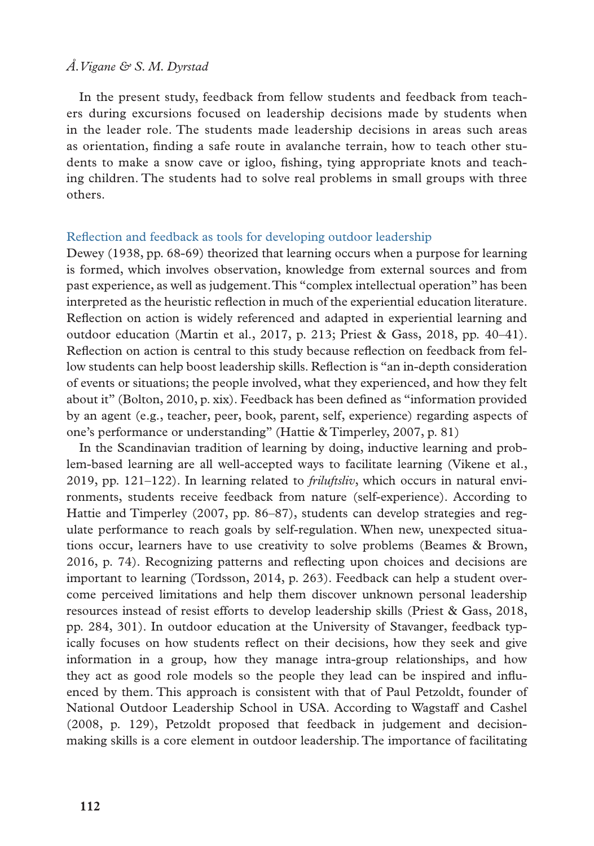In the present study, feedback from fellow students and feedback from teachers during excursions focused on leadership decisions made by students when in the leader role. The students made leadership decisions in areas such areas as orientation, finding a safe route in avalanche terrain, how to teach other students to make a snow cave or igloo, fishing, tying appropriate knots and teaching children. The students had to solve real problems in small groups with three others.

#### Reflection and feedback as tools for developing outdoor leadership

Dewey (1938, pp. 68-69) theorized that learning occurs when a purpose for learning is formed, which involves observation, knowledge from external sources and from past experience, as well as judgement. This "complex intellectual operation" has been interpreted as the heuristic reflection in much of the experiential education literature. Reflection on action is widely referenced and adapted in experiential learning and outdoor education (Martin et al., 2017, p. 213; Priest & Gass, 2018, pp.  $40-41$ ). Reflection on action is central to this study because reflection on feedback from fellow students can help boost leadership skills. Reflection is "an in-depth consideration of events or situations; the people involved, what they experienced, and how they felt about it" (Bolton, 2010, p. xix). Feedback has been defined as "information provided by an agent (e.g., teacher, peer, book, parent, self, experience) regarding aspects of one's performance or understanding" (Hattie & Timperley, 2007, p. 81)

In the Scandinavian tradition of learning by doing, inductive learning and problem-based learning are all well-accepted ways to facilitate learning (Vikene et al., 2019, pp. 121–122). In learning related to *friluftsliv*, which occurs in natural environments, students receive feedback from nature (self-experience). According to Hattie and Timperley (2007, pp. 86–87), students can develop strategies and regulate performance to reach goals by self-regulation. When new, unexpected situations occur, learners have to use creativity to solve problems (Beames & Brown, 2016, p. 74). Recognizing patterns and reflecting upon choices and decisions are important to learning (Tordsson, 2014, p. 263). Feedback can help a student overcome perceived limitations and help them discover unknown personal leadership resources instead of resist efforts to develop leadership skills (Priest & Gass, 2018, pp. 284, 301). In outdoor education at the University of Stavanger, feedback typically focuses on how students reflect on their decisions, how they seek and give information in a group, how they manage intra-group relationships, and how they act as good role models so the people they lead can be inspired and influenced by them. This approach is consistent with that of Paul Petzoldt, founder of National Outdoor Leadership School in USA. According to Wagstaff and Cashel (2008, p. 129), Petzoldt proposed that feedback in judgement and decisionmaking skills is a core element in outdoor leadership. The importance of facilitating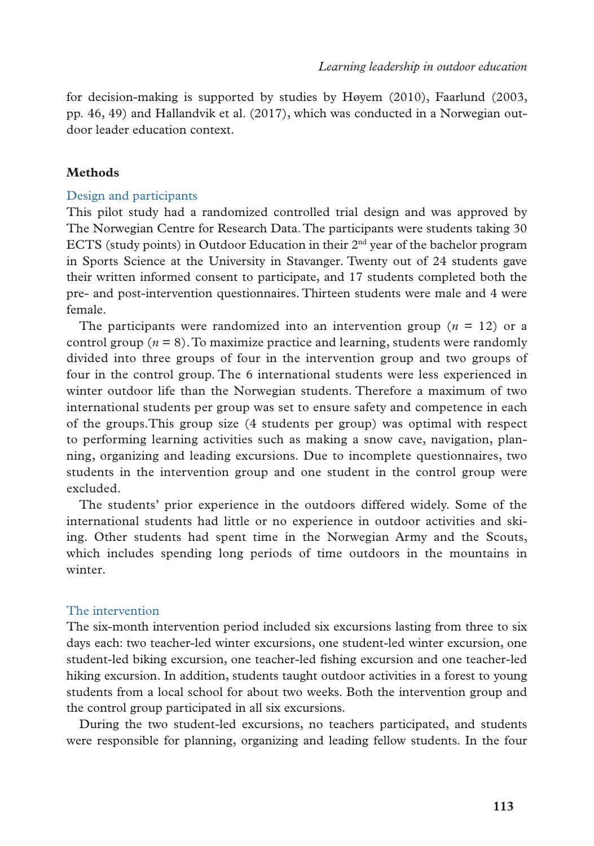for decision-making is supported by studies by Høyem (2010), Faarlund (2003, pp. 46, 49) and Hallandvik et al. (2017), which was conducted in a Norwegian outdoor leader education context.

## **Methods**

## Design and participants

This pilot study had a randomized controlled trial design and was approved by The Norwegian Centre for Research Data. The participants were students taking 30 ECTS (study points) in Outdoor Education in their 2nd year of the bachelor program in Sports Science at the University in Stavanger. Twenty out of 24 students gave their written informed consent to participate, and 17 students completed both the pre- and post-intervention questionnaires. Thirteen students were male and 4 were female.

The participants were randomized into an intervention group  $(n = 12)$  or a control group ( $n = 8$ ). To maximize practice and learning, students were randomly divided into three groups of four in the intervention group and two groups of four in the control group. The 6 international students were less experienced in winter outdoor life than the Norwegian students. Therefore a maximum of two international students per group was set to ensure safety and competence in each of the groups.This group size (4 students per group) was optimal with respect to performing learning activities such as making a snow cave, navigation, planning, organizing and leading excursions. Due to incomplete questionnaires, two students in the intervention group and one student in the control group were excluded.

The students' prior experience in the outdoors differed widely. Some of the international students had little or no experience in outdoor activities and skiing. Other students had spent time in the Norwegian Army and the Scouts, which includes spending long periods of time outdoors in the mountains in winter.

## The intervention

The six-month intervention period included six excursions lasting from three to six days each: two teacher-led winter excursions, one student-led winter excursion, one student-led biking excursion, one teacher-led fishing excursion and one teacher-led hiking excursion. In addition, students taught outdoor activities in a forest to young students from a local school for about two weeks. Both the intervention group and the control group participated in all six excursions.

During the two student-led excursions, no teachers participated, and students were responsible for planning, organizing and leading fellow students. In the four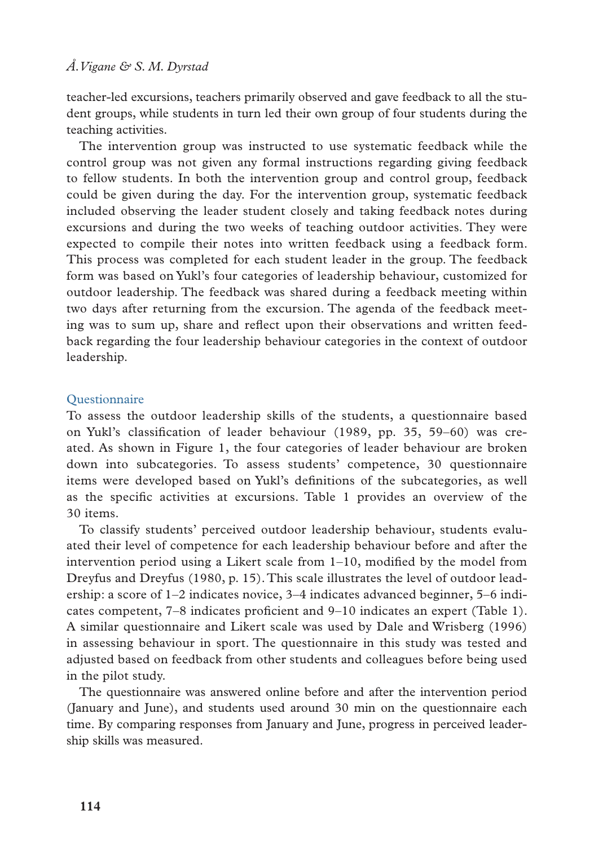teacher-led excursions, teachers primarily observed and gave feedback to all the student groups, while students in turn led their own group of four students during the teaching activities.

The intervention group was instructed to use systematic feedback while the control group was not given any formal instructions regarding giving feedback to fellow students. In both the intervention group and control group, feedback could be given during the day. For the intervention group, systematic feedback included observing the leader student closely and taking feedback notes during excursions and during the two weeks of teaching outdoor activities. They were expected to compile their notes into written feedback using a feedback form. This process was completed for each student leader in the group. The feedback form was based on Yukl's four categories of leadership behaviour, customized for outdoor leadership. The feedback was shared during a feedback meeting within two days after returning from the excursion. The agenda of the feedback meeting was to sum up, share and reflect upon their observations and written feedback regarding the four leadership behaviour categories in the context of outdoor leadership.

## **Ouestionnaire**

To assess the outdoor leadership skills of the students, a questionnaire based on Yukl's classification of leader behaviour (1989, pp. 35, 59–60) was created. As shown in Figure 1, the four categories of leader behaviour are broken down into subcategories. To assess students' competence, 30 questionnaire items were developed based on Yukl's definitions of the subcategories, as well as the specific activities at excursions. Table 1 provides an overview of the 30 items.

To classify students' perceived outdoor leadership behaviour, students evaluated their level of competence for each leadership behaviour before and after the intervention period using a Likert scale from 1–10, modified by the model from Dreyfus and Dreyfus (1980, p. 15). This scale illustrates the level of outdoor leadership: a score of 1–2 indicates novice, 3–4 indicates advanced beginner, 5–6 indicates competent, 7–8 indicates proficient and 9–10 indicates an expert (Table 1). A similar questionnaire and Likert scale was used by Dale and Wrisberg (1996) in assessing behaviour in sport. The questionnaire in this study was tested and adjusted based on feedback from other students and colleagues before being used in the pilot study.

The questionnaire was answered online before and after the intervention period (January and June), and students used around 30 min on the questionnaire each time. By comparing responses from January and June, progress in perceived leadership skills was measured.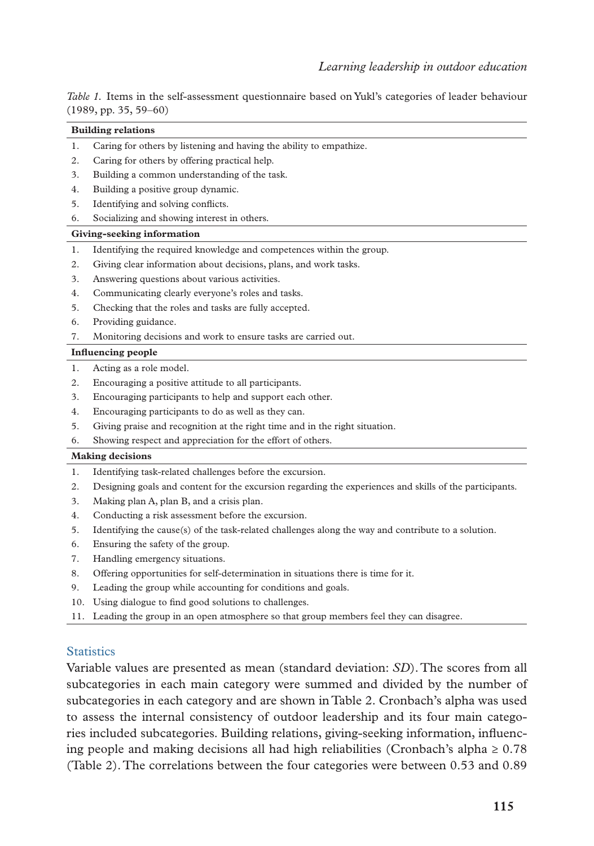*Table 1.* Items in the self-assessment questionnaire based on Yukl's categories of leader behaviour (1989, pp. 35, 59–60)

#### **Building relations**

- 1. Caring for others by listening and having the ability to empathize.
- 2. Caring for others by offering practical help.
- 3. Building a common understanding of the task.
- 4. Building a positive group dynamic.
- 5. Identifying and solving conflicts.
- 6. Socializing and showing interest in others.

#### **Giving-seeking information**

- 1. Identifying the required knowledge and competences within the group.
- 2. Giving clear information about decisions, plans, and work tasks.
- 3. Answering questions about various activities.
- 4. Communicating clearly everyone's roles and tasks.
- 5. Checking that the roles and tasks are fully accepted.
- 6. Providing guidance.
- 7. Monitoring decisions and work to ensure tasks are carried out.

#### **Influencing people**

- 1. Acting as a role model.
- 2. Encouraging a positive attitude to all participants.
- 3. Encouraging participants to help and support each other.
- 4. Encouraging participants to do as well as they can.
- 5. Giving praise and recognition at the right time and in the right situation.
- 6. Showing respect and appreciation for the effort of others.

#### **Making decisions**

- 1. Identifying task-related challenges before the excursion.
- 2. Designing goals and content for the excursion regarding the experiences and skills of the participants.
- 3. Making plan A, plan B, and a crisis plan.
- 4. Conducting a risk assessment before the excursion.
- 5. Identifying the cause(s) of the task-related challenges along the way and contribute to a solution.
- 6. Ensuring the safety of the group.
- 7. Handling emergency situations.
- 8. Offering opportunities for self-determination in situations there is time for it.
- 9. Leading the group while accounting for conditions and goals.
- 10. Using dialogue to find good solutions to challenges.
- 11. Leading the group in an open atmosphere so that group members feel they can disagree.

#### **Statistics**

Variable values are presented as mean (standard deviation: *SD*). The scores from all subcategories in each main category were summed and divided by the number of subcategories in each category and are shown in Table 2. Cronbach's alpha was used to assess the internal consistency of outdoor leadership and its four main categories included subcategories. Building relations, giving-seeking information, influencing people and making decisions all had high reliabilities (Cronbach's alpha  $\geq 0.78$ ) (Table 2). The correlations between the four categories were between 0.53 and 0.89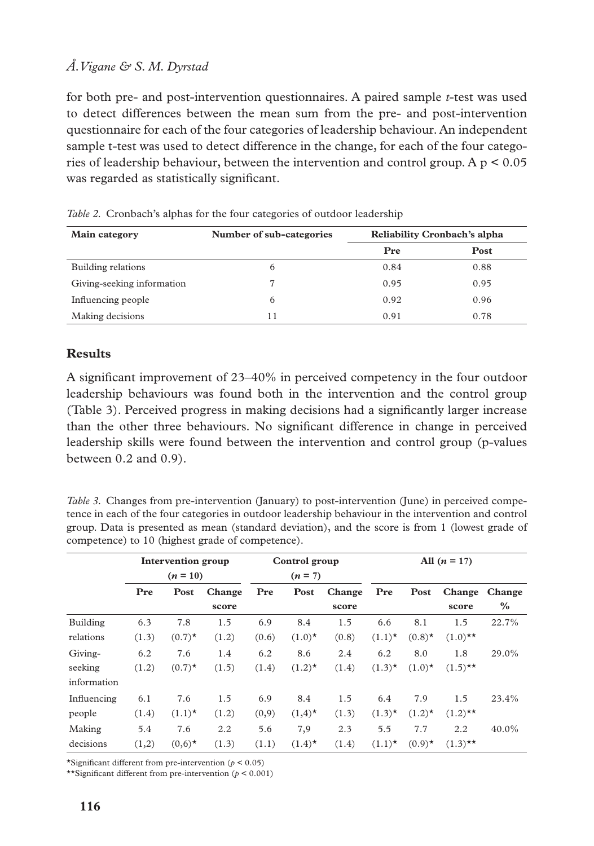for both pre- and post-intervention questionnaires. A paired sample *t*-test was used to detect differences between the mean sum from the pre- and post-intervention questionnaire for each of the four categories of leadership behaviour. An independent sample t-test was used to detect difference in the change, for each of the four categories of leadership behaviour, between the intervention and control group. A  $p < 0.05$ was regarded as statistically significant.

| Main category              | Number of sub-categories | Reliability Cronbach's alpha |      |
|----------------------------|--------------------------|------------------------------|------|
|                            |                          | Pre                          | Post |
| Building relations         | 6                        | 0.84                         | 0.88 |
| Giving-seeking information |                          | 0.95                         | 0.95 |
| Influencing people         | 6                        | 0.92                         | 0.96 |
| Making decisions           |                          | 0.91                         | 0.78 |

*Table 2.* Cronbach's alphas for the four categories of outdoor leadership

# **Results**

A significant improvement of 23–40% in perceived competency in the four outdoor leadership behaviours was found both in the intervention and the control group (Table 3). Perceived progress in making decisions had a significantly larger increase than the other three behaviours. No significant difference in change in perceived leadership skills were found between the intervention and control group (p-values between 0.2 and 0.9).

*Table 3.* Changes from pre-intervention (January) to post-intervention (June) in perceived competence in each of the four categories in outdoor leadership behaviour in the intervention and control group. Data is presented as mean (standard deviation), and the score is from 1 (lowest grade of competence) to 10 (highest grade of competence).

|             | Intervention group<br>$(n = 10)$ |           | Control group<br>$(n = 7)$ |       | All $(n = 17)$ |        |           |                      |            |        |
|-------------|----------------------------------|-----------|----------------------------|-------|----------------|--------|-----------|----------------------|------------|--------|
|             | Pre                              | Post      | Change                     | Pre   | Post           | Change | Pre       | Post                 | Change     | Change |
|             |                                  |           | score                      |       |                | score  |           |                      | score      | $\%$   |
| Building    | 6.3                              | 7.8       | 1.5                        | 6.9   | 8.4            | 1.5    | 6.6       | 8.1                  | 1.5        | 22.7%  |
| relations   | (1.3)                            | $(0.7)^*$ | (1.2)                      | (0.6) | $(1.0)^*$      | (0.8)  | $(1.1)^*$ | $(0.8)$ <sup>*</sup> | $(1.0)$ ** |        |
| Giving-     | 6.2                              | 7.6       | 1.4                        | 6.2   | 8.6            | 2.4    | 6.2       | 8.0                  | 1.8        | 29.0%  |
| seeking     | (1.2)                            | $(0.7)^*$ | (1.5)                      | (1.4) | $(1.2)^*$      | (1.4)  | $(1.3)^*$ | $(1.0)^*$            | $(1.5)$ ** |        |
| information |                                  |           |                            |       |                |        |           |                      |            |        |
| Influencing | 6.1                              | 7.6       | 1.5                        | 6.9   | 8.4            | 1.5    | 6.4       | 7.9                  | 1.5        | 23.4%  |
| people      | (1.4)                            | $(1.1)^*$ | (1.2)                      | (0,9) | $(1,4)^*$      | (1.3)  | $(1.3)^*$ | $(1.2)^*$            | $(1.2)$ ** |        |
| Making      | 5.4                              | 7.6       | 2.2                        | 5.6   | 7,9            | 2.3    | 5.5       | 7.7                  | 2.2        | 40.0%  |
| decisions   | (1,2)                            | $(0,6)^*$ | (1.3)                      | (1.1) | $(1.4)^*$      | (1.4)  | $(1.1)^*$ | $(0.9)$ <sup>*</sup> | $(1.3)$ ** |        |

\*Significant different from pre-intervention (*p* < 0.05)

\*\*Significant different from pre-intervention (*p* < 0.001)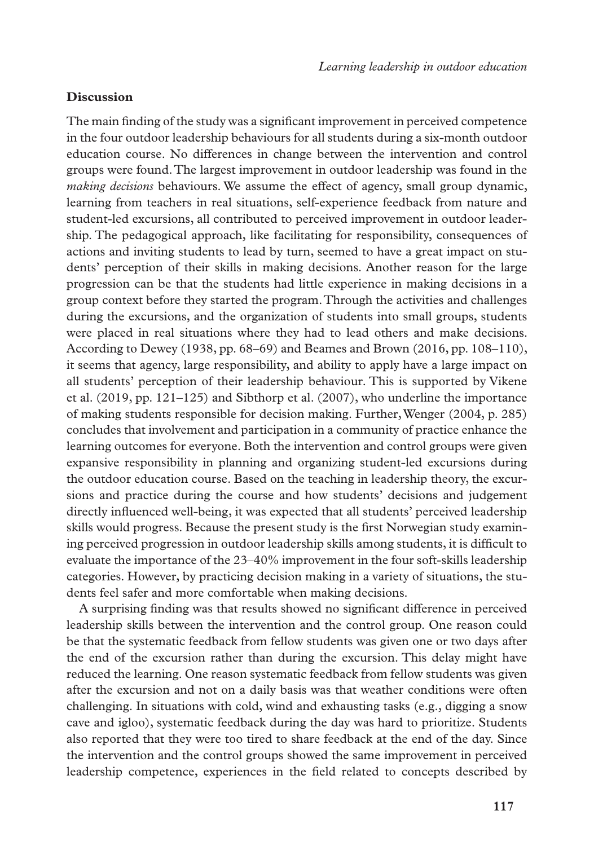## **Discussion**

The main finding of the study was a significant improvement in perceived competence in the four outdoor leadership behaviours for all students during a six-month outdoor education course. No differences in change between the intervention and control groups were found. The largest improvement in outdoor leadership was found in the *making decisions* behaviours. We assume the effect of agency, small group dynamic, learning from teachers in real situations, self-experience feedback from nature and student-led excursions, all contributed to perceived improvement in outdoor leadership. The pedagogical approach, like facilitating for responsibility, consequences of actions and inviting students to lead by turn, seemed to have a great impact on students' perception of their skills in making decisions. Another reason for the large progression can be that the students had little experience in making decisions in a group context before they started the program. Through the activities and challenges during the excursions, and the organization of students into small groups, students were placed in real situations where they had to lead others and make decisions. According to Dewey (1938, pp. 68–69) and Beames and Brown (2016, pp. 108–110), it seems that agency, large responsibility, and ability to apply have a large impact on all students' perception of their leadership behaviour. This is supported by Vikene et al. (2019, pp. 121–125) and Sibthorp et al. (2007), who underline the importance of making students responsible for decision making. Further, Wenger (2004, p. 285) concludes that involvement and participation in a community of practice enhance the learning outcomes for everyone. Both the intervention and control groups were given expansive responsibility in planning and organizing student-led excursions during the outdoor education course. Based on the teaching in leadership theory, the excursions and practice during the course and how students' decisions and judgement directly influenced well-being, it was expected that all students' perceived leadership skills would progress. Because the present study is the first Norwegian study examining perceived progression in outdoor leadership skills among students, it is difficult to evaluate the importance of the 23–40% improvement in the four soft-skills leadership categories. However, by practicing decision making in a variety of situations, the students feel safer and more comfortable when making decisions.

A surprising finding was that results showed no significant difference in perceived leadership skills between the intervention and the control group. One reason could be that the systematic feedback from fellow students was given one or two days after the end of the excursion rather than during the excursion. This delay might have reduced the learning. One reason systematic feedback from fellow students was given after the excursion and not on a daily basis was that weather conditions were often challenging. In situations with cold, wind and exhausting tasks (e.g., digging a snow cave and igloo), systematic feedback during the day was hard to prioritize. Students also reported that they were too tired to share feedback at the end of the day. Since the intervention and the control groups showed the same improvement in perceived leadership competence, experiences in the field related to concepts described by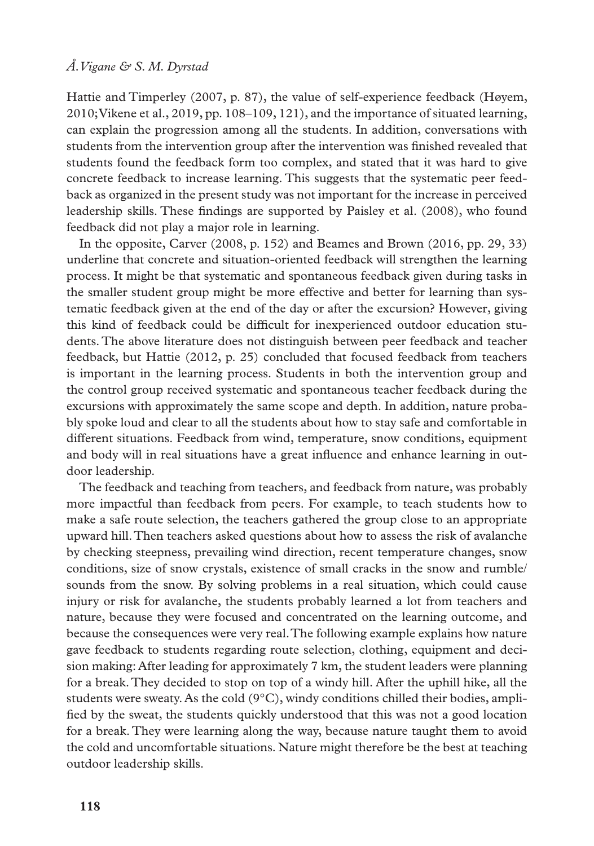Hattie and Timperley (2007, p. 87), the value of self-experience feedback (Høyem, 2010; Vikene et al., 2019, pp. 108–109, 121), and the importance of situated learning, can explain the progression among all the students. In addition, conversations with students from the intervention group after the intervention was finished revealed that students found the feedback form too complex, and stated that it was hard to give concrete feedback to increase learning. This suggests that the systematic peer feedback as organized in the present study was not important for the increase in perceived leadership skills. These findings are supported by Paisley et al. (2008), who found feedback did not play a major role in learning.

In the opposite, Carver (2008, p. 152) and Beames and Brown (2016, pp. 29, 33) underline that concrete and situation-oriented feedback will strengthen the learning process. It might be that systematic and spontaneous feedback given during tasks in the smaller student group might be more effective and better for learning than systematic feedback given at the end of the day or after the excursion? However, giving this kind of feedback could be difficult for inexperienced outdoor education students. The above literature does not distinguish between peer feedback and teacher feedback, but Hattie (2012, p. 25) concluded that focused feedback from teachers is important in the learning process. Students in both the intervention group and the control group received systematic and spontaneous teacher feedback during the excursions with approximately the same scope and depth. In addition, nature probably spoke loud and clear to all the students about how to stay safe and comfortable in different situations. Feedback from wind, temperature, snow conditions, equipment and body will in real situations have a great influence and enhance learning in outdoor leadership.

The feedback and teaching from teachers, and feedback from nature, was probably more impactful than feedback from peers. For example, to teach students how to make a safe route selection, the teachers gathered the group close to an appropriate upward hill. Then teachers asked questions about how to assess the risk of avalanche by checking steepness, prevailing wind direction, recent temperature changes, snow conditions, size of snow crystals, existence of small cracks in the snow and rumble/ sounds from the snow. By solving problems in a real situation, which could cause injury or risk for avalanche, the students probably learned a lot from teachers and nature, because they were focused and concentrated on the learning outcome, and because the consequences were very real. The following example explains how nature gave feedback to students regarding route selection, clothing, equipment and decision making: After leading for approximately 7 km, the student leaders were planning for a break. They decided to stop on top of a windy hill. After the uphill hike, all the students were sweaty. As the cold  $(9^{\circ}C)$ , windy conditions chilled their bodies, amplified by the sweat, the students quickly understood that this was not a good location for a break. They were learning along the way, because nature taught them to avoid the cold and uncomfortable situations. Nature might therefore be the best at teaching outdoor leadership skills.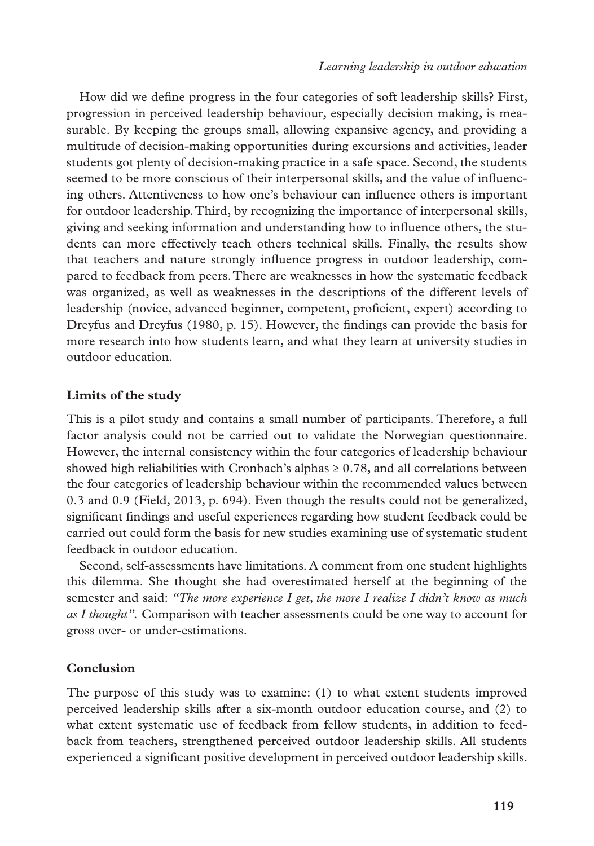How did we define progress in the four categories of soft leadership skills? First, progression in perceived leadership behaviour, especially decision making, is measurable. By keeping the groups small, allowing expansive agency, and providing a multitude of decision-making opportunities during excursions and activities, leader students got plenty of decision-making practice in a safe space. Second, the students seemed to be more conscious of their interpersonal skills, and the value of influencing others. Attentiveness to how one's behaviour can influence others is important for outdoor leadership. Third, by recognizing the importance of interpersonal skills, giving and seeking information and understanding how to influence others, the students can more effectively teach others technical skills. Finally, the results show that teachers and nature strongly influence progress in outdoor leadership, compared to feedback from peers. There are weaknesses in how the systematic feedback was organized, as well as weaknesses in the descriptions of the different levels of leadership (novice, advanced beginner, competent, proficient, expert) according to Dreyfus and Dreyfus (1980, p. 15). However, the findings can provide the basis for more research into how students learn, and what they learn at university studies in outdoor education.

## **Limits of the study**

This is a pilot study and contains a small number of participants. Therefore, a full factor analysis could not be carried out to validate the Norwegian questionnaire. However, the internal consistency within the four categories of leadership behaviour showed high reliabilities with Cronbach's alphas  $\geq 0.78$ , and all correlations between the four categories of leadership behaviour within the recommended values between 0.3 and 0.9 (Field, 2013, p. 694). Even though the results could not be generalized, significant findings and useful experiences regarding how student feedback could be carried out could form the basis for new studies examining use of systematic student feedback in outdoor education.

Second, self-assessments have limitations. A comment from one student highlights this dilemma. She thought she had overestimated herself at the beginning of the semester and said: *"The more experience I get, the more I realize I didn't know as much as I thought".* Comparison with teacher assessments could be one way to account for gross over- or under-estimations.

## **Conclusion**

The purpose of this study was to examine: (1) to what extent students improved perceived leadership skills after a six-month outdoor education course, and (2) to what extent systematic use of feedback from fellow students, in addition to feedback from teachers, strengthened perceived outdoor leadership skills. All students experienced a significant positive development in perceived outdoor leadership skills.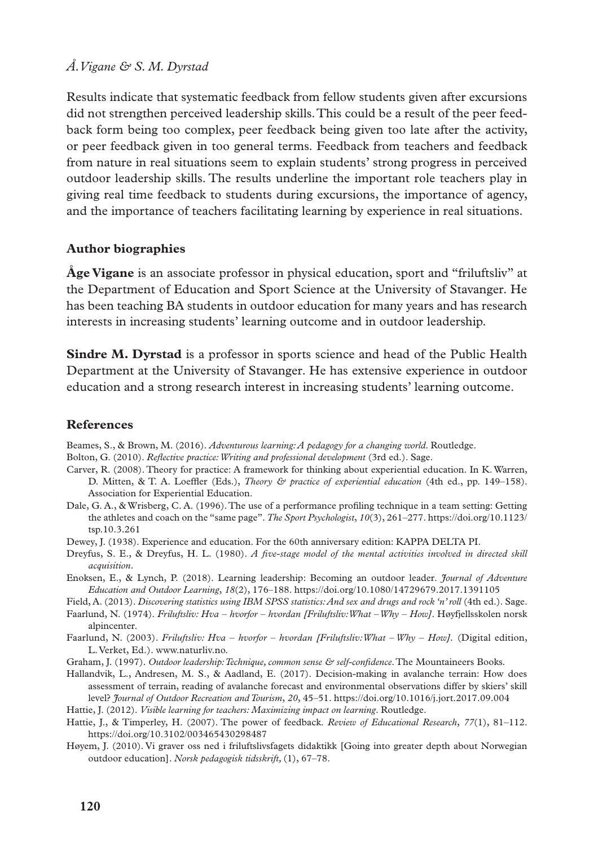Results indicate that systematic feedback from fellow students given after excursions did not strengthen perceived leadership skills. This could be a result of the peer feedback form being too complex, peer feedback being given too late after the activity, or peer feedback given in too general terms. Feedback from teachers and feedback from nature in real situations seem to explain students' strong progress in perceived outdoor leadership skills. The results underline the important role teachers play in giving real time feedback to students during excursions, the importance of agency, and the importance of teachers facilitating learning by experience in real situations.

## **Author biographies**

**Åge Vigane** is an associate professor in physical education, sport and "friluftsliv" at the Department of Education and Sport Science at the University of Stavanger. He has been teaching BA students in outdoor education for many years and has research interests in increasing students' learning outcome and in outdoor leadership.

**Sindre M. Dyrstad** is a professor in sports science and head of the Public Health Department at the University of Stavanger. He has extensive experience in outdoor education and a strong research interest in increasing students' learning outcome.

### **References**

Beames, S., & Brown, M. (2016). *Adventurous learning: A pedagogy for a changing world*. Routledge.

- Bolton, G. (2010). *Reflective practice: Writing and professional development* (3rd ed.). Sage.
- Carver, R. (2008). Theory for practice: A framework for thinking about experiential education. In K. Warren, D. Mitten, & T. A. Loeffler (Eds.), *Theory & practice of experiential education* (4th ed., pp. 149–158). Association for Experiential Education.
- Dale, G. A., & Wrisberg, C. A. (1996). The use of a performance profiling technique in a team setting: Getting the athletes and coach on the "same page". *The Sport Psychologist*, *10*(3), 261–277. [https://doi.org/10.1123/](https://doi.org/10.1123/tsp.10.3.261) [tsp.10.3.261](https://doi.org/10.1123/tsp.10.3.261)
- Dewey, J. (1938). Experience and education. For the 60th anniversary edition: KAPPA DELTA PI.
- Dreyfus, S. E., & Dreyfus, H. L. (1980). *A five-stage model of the mental activities involved in directed skill acquisition*.
- Enoksen, E., & Lynch, P. (2018). Learning leadership: Becoming an outdoor leader. *Journal of Adventure Education and Outdoor Learning*, *18*(2), 176–188. <https://doi.org/10.1080/14729679.2017.1391105>
- Field, A. (2013). *Discovering statistics using IBM SPSS statistics: And sex and drugs and rock 'n' roll* (4th ed.). Sage.
- Faarlund, N. (1974). *Friluftsliv: Hva hvorfor hvordan [Friluftsliv:What Why How]*. Høyfjellsskolen norsk alpincenter.
- Faarlund, N. (2003). *Friluftsliv: Hva hvorfor hvordan [Friluftsliv:What Why How].* (Digital edition, L. Verket, Ed.). www.naturliv.no.
- Graham, J. (1997). *Outdoor leadership: Technique, common sense & self-confidence*. The Mountaineers Books.
- Hallandvik, L., Andresen, M. S., & Aadland, E. (2017). Decision-making in avalanche terrain: How does assessment of terrain, reading of avalanche forecast and environmental observations differ by skiers' skill level? *Journal of Outdoor Recreation and Tourism*, *20*, 45–51.<https://doi.org/10.1016/j.jort.2017.09.004>
- Hattie, J. (2012). *Visible learning for teachers: Maximizing impact on learning*. Routledge.
- Hattie, J., & Timperley, H. (2007). The power of feedback. *Review of Educational Research*, *77*(1), 81–112. <https://doi.org/10.3102/003465430298487>
- Høyem, J. (2010). Vi graver oss ned i friluftslivsfagets didaktikk [Going into greater depth about Norwegian outdoor education]. *Norsk pedagogisk tidsskrift,* (1), 67–78.